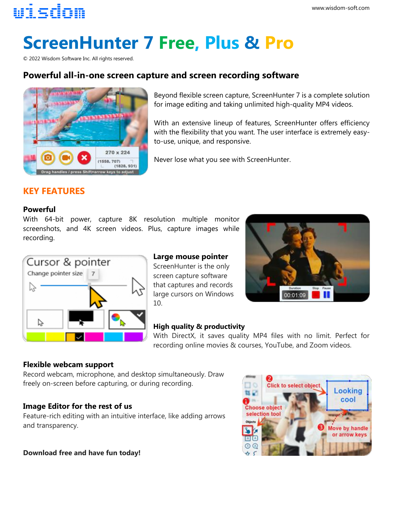## wisdom

# **ScreenHunter 7 Free, Plus & Pro**

© 2022 Wisdom Software Inc. All rights reserved.

### **Powerful all-in-one screen capture and screen recording software**



Beyond flexible screen capture, ScreenHunter 7 is a complete solution for image editing and taking unlimited high-quality MP4 videos.

With an extensive lineup of features, ScreenHunter offers efficiency with the flexibility that you want. The user interface is extremely easyto-use, unique, and responsive.

Never lose what you see with ScreenHunter.

#### **KEY FEATURES**

#### **Powerful**

With 64-bit power, capture 8K resolution multiple monitor screenshots, and 4K screen videos. Plus, capture images while recording.



#### **Large mouse pointer**

ScreenHunter is the only screen capture software that captures and records large cursors on Windows 10.



#### **High quality & productivity**

With DirectX, it saves quality MP4 files with no limit. Perfect for recording online movies & courses, YouTube, and Zoom videos.

#### **Flexible webcam support**

Record webcam, microphone, and desktop simultaneously. Draw freely on-screen before capturing, or during recording.

#### **Image Editor for the rest of us**

Feature-rich editing with an intuitive interface, like adding arrows and transparency.



**Download free and have fun today!**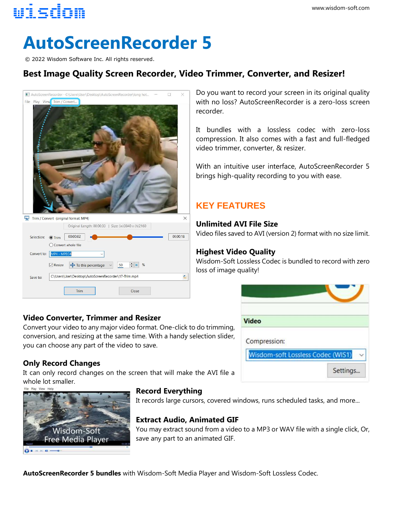## wisdom

# **AutoScreenRecorder 5**

© 2022 Wisdom Software Inc. All rights reserved.

## **Best Image Quality Screen Recorder, Video Trimmer, Converter, and Resizer!**



#### **Video Converter, Trimmer and Resizer**

Convert your video to any major video format. One-click to do trimming, conversion, and resizing at the same time. With a handy selection slider, you can choose any part of the video to save.

#### **Only Record Changes**

It can only record changes on the screen that will make the AVI file a whole lot smaller.



#### **Record Everything**

It records large cursors, covered windows, runs scheduled tasks, and more...

#### **Extract Audio, Animated GIF**

You may extract sound from a video to a MP3 or WAV file with a single click, Or, save any part to an animated GIF.

Do you want to record your screen in its original quality with no loss? AutoScreenRecorder is a zero-loss screen recorder.

It bundles with a lossless codec with zero-loss compression. It also comes with a fast and full-fledged video trimmer, converter, & resizer.

With an intuitive user interface, AutoScreenRecorder 5 brings high-quality recording to you with ease.

## **KEY FEATURES**

#### **Unlimited AVI File Size**

Video files saved to AVI (version 2) format with no size limit.

#### **Highest Video Quality**

Wisdom-Soft Lossless Codec is bundled to record with zero loss of image quality!

| <b>Video</b> |                                          |  |
|--------------|------------------------------------------|--|
|              |                                          |  |
| Compression: |                                          |  |
|              | <b>Wisdom-soft Lossless Codec (WIS1)</b> |  |

**AutoScreenRecorder 5 bundles** with Wisdom-Soft Media Player and Wisdom-Soft Lossless Codec.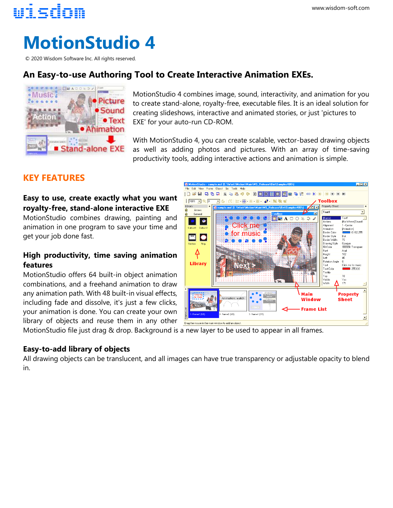## **MotionStudio 4**

© 2020 Wisdom Software Inc. All rights reserved.

### **An Easy-to-use Authoring Tool to Create Interactive Animation EXEs.**



MotionStudio 4 combines image, sound, interactivity, and animation for you to create stand-alone, royalty-free, executable files. It is an ideal solution for creating slideshows, interactive and animated stories, or just 'pictures to EXE' for your auto-run CD-ROM.

With MotionStudio 4, you can create scalable, vector-based drawing objects as well as adding photos and pictures. With an array of time-saving productivity tools, adding interactive actions and animation is simple.

#### **KEY FEATURES**

wisdom

#### **Easy to use, create exactly what you want royalty-free, stand-alone interactive EXE**

MotionStudio combines drawing, painting and animation in one program to save your time and get your job done fast.

#### **High productivity, time saving animation features**

MotionStudio offers 64 built-in object animation combinations, and a freehand animation to draw any animation path. With 48 built-in visual effects, including fade and dissolve, it's just a few clicks, your animation is done. You can create your own library of objects and reuse them in any other



MotionStudio file just drag & drop. Background is a new layer to be used to appear in all frames.

#### **Easy-to-add library of objects**

All drawing objects can be translucent, and all images can have true transparency or adjustable opacity to blend in.